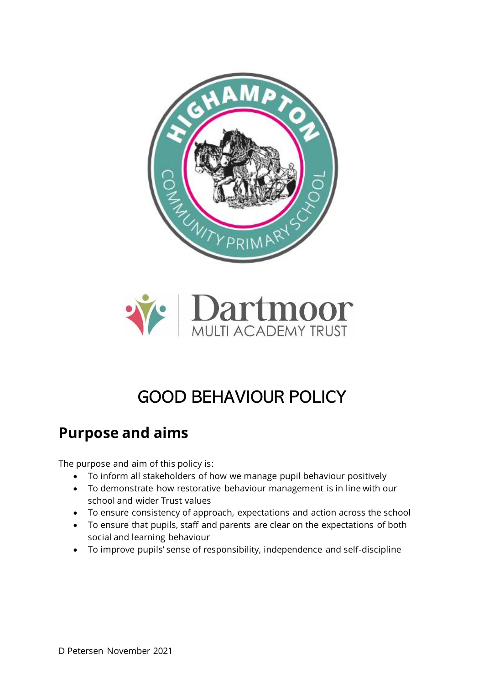



# GOOD BEHAVIOUR POLICY

#### **Purpose and aims**

The purpose and aim of this policy is:

- To inform all stakeholders of how we manage pupil behaviour positively
- To demonstrate how restorative behaviour management is in line with our school and wider Trust values
- To ensure consistency of approach, expectations and action across the school
- To ensure that pupils, staff and parents are clear on the expectations of both social and learning behaviour
- To improve pupils' sense of responsibility, independence and self-discipline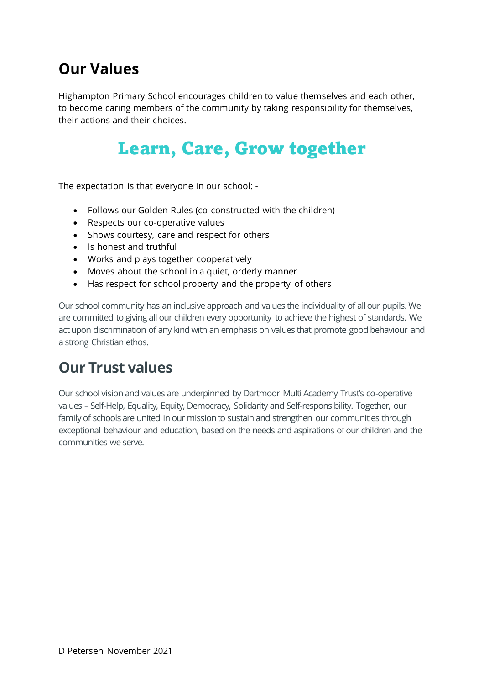#### **Our Values**

Highampton Primary School encourages children to value themselves and each other, to become caring members of the community by taking responsibility for themselves, their actions and their choices.

## Learn, Care, Grow together

The expectation is that everyone in our school: -

- Follows our Golden Rules (co-constructed with the children)
- Respects our co-operative values
- Shows courtesy, care and respect for others
- Is honest and truthful
- Works and plays together cooperatively
- Moves about the school in a quiet, orderly manner
- Has respect for school property and the property of others

Our school community has an inclusive approach and values the individuality of all our pupils. We are committed to giving all our children every opportunity to achieve the highest of standards. We act upon discrimination of any kind with an emphasis on values that promote good behaviour and a strong Christian ethos.

#### **Our Trust values**

Our school vision and values are underpinned by Dartmoor Multi Academy Trust's co-operative values – Self-Help, Equality, Equity, Democracy, Solidarity and Self-responsibility. Together, our family of schools are united in our mission to sustain and strengthen our communities through exceptional behaviour and education, based on the needs and aspirations of our children and the communities we serve.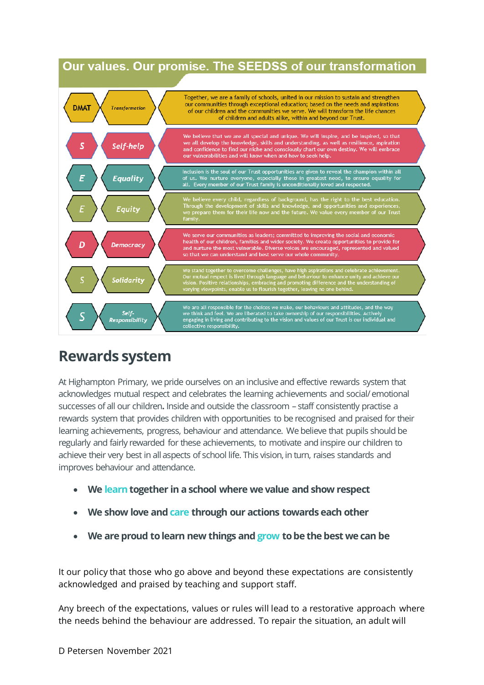#### Our values. Our promise. The SEEDSS of our transformation



#### **Rewards system**

At Highampton Primary, we pride ourselves on an inclusive and effective rewards system that acknowledges mutual respect and celebrates the learning achievements and social/ emotional successes of all our children**.** Inside and outside the classroom – staff consistently practise a rewards system that provides children with opportunities to be recognised and praised for their learning achievements, progress, behaviour and attendance. We believe that pupils should be regularly and fairly rewarded for these achievements, to motivate and inspire our children to achieve their very best in all aspects of school life. This vision, in turn, raises standards and improves behaviour and attendance.

- **We learntogether in a school where we value and show respect**
- **We show love and care through our actions towards each other**
- **We are proud to learn new things and grow to be the best we can be**

It our policy that those who go above and beyond these expectations are consistently acknowledged and praised by teaching and support staff.

Any breech of the expectations, values or rules will lead to a restorative approach where the needs behind the behaviour are addressed. To repair the situation, an adult will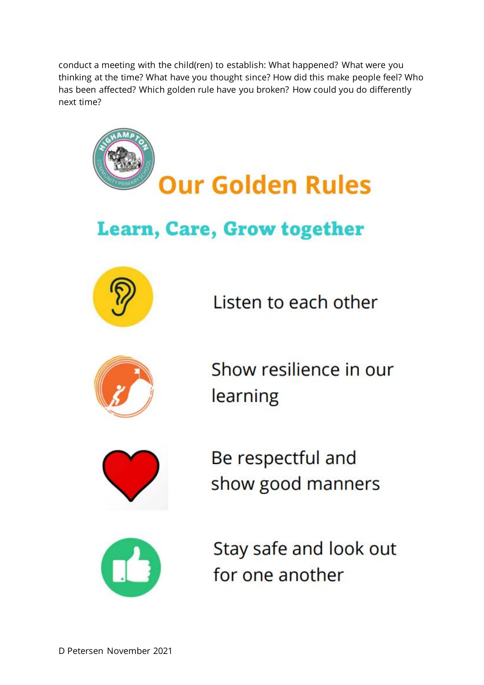conduct a meeting with the child(ren) to establish: What happened? What were you thinking at the time? What have you thought since? How did this make people feel? Who has been affected? Which golden rule have you broken? How could you do differently next time?

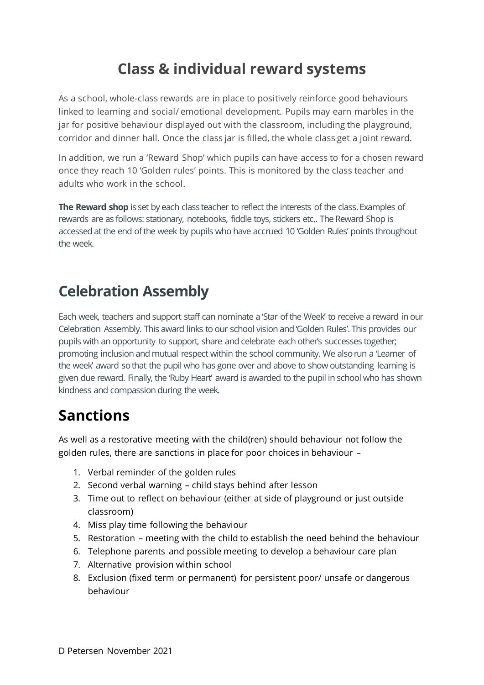#### **Class & individual reward systems**

As a school, whole-class rewards are in place to positively reinforce good behaviours linked to learning and social/ emotional development. Pupils may earn marbles in the jar for positive behaviour displayed out with the classroom, including the playground, corridor and dinner hall. Once the class jar is filled, the whole class get a joint reward.

In addition, we run a 'Reward Shop' which pupils can have access to for a chosen reward once they reach 10 'Golden rules' points. This is monitored by the class teacher and adults who work in the school.

**The Reward shop** is set by each class teacher to reflect the interests of the class. Examples of rewards are as follows: stationary, notebooks, fiddle toys, stickers etc.. The Reward Shop is accessed at the end of the week by pupils who have accrued 10 'Golden Rules' points throughout the week.

#### **Celebration Assembly**

Each week, teachers and support staff can nominate a 'Star of the Week' to receive a reward in our Celebration Assembly. This award links to our school vision and 'Golden Rules'. This provides our pupils with an opportunity to support, share and celebrate each other's successes together; promoting inclusion and mutual respect within the school community. We also run a 'Learner of the week' award so that the pupil who has gone over and above to show outstanding learning is given due reward. Finally, the 'Ruby Heart' award is awarded to the pupil in school who has shown kindness and compassion during the week.

#### **Sanctions**

As well as a restorative meeting with the child(ren) should behaviour not follow the golden rules, there are sanctions in place for poor choices in behaviour –

- 1. Verbal reminder of the golden rules
- 2. Second verbal warning child stays behind after lesson
- 3. Time out to reflect on behaviour (either at side of playground or just outside classroom)
- 4. Miss play time following the behaviour
- 5. Restoration meeting with the child to establish the need behind the behaviour
- 6. Telephone parents and possible meeting to develop a behaviour care plan
- 7. Alternative provision within school
- 8. Exclusion (fixed term or permanent) for persistent poor/ unsafe or dangerous behaviour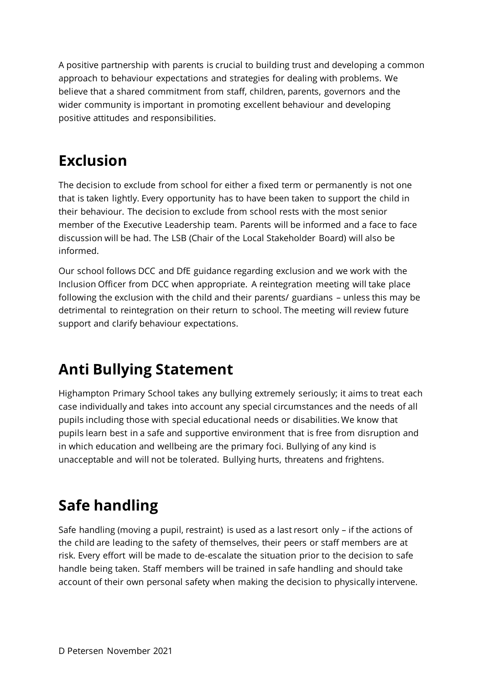A positive partnership with parents is crucial to building trust and developing a common approach to behaviour expectations and strategies for dealing with problems. We believe that a shared commitment from staff, children, parents, governors and the wider community is important in promoting excellent behaviour and developing positive attitudes and responsibilities.

### **Exclusion**

The decision to exclude from school for either a fixed term or permanently is not one that is taken lightly. Every opportunity has to have been taken to support the child in their behaviour. The decision to exclude from school rests with the most senior member of the Executive Leadership team. Parents will be informed and a face to face discussion will be had. The LSB (Chair of the Local Stakeholder Board) will also be informed.

Our school follows DCC and DfE guidance regarding exclusion and we work with the Inclusion Officer from DCC when appropriate. A reintegration meeting will take place following the exclusion with the child and their parents/ guardians – unless this may be detrimental to reintegration on their return to school. The meeting will review future support and clarify behaviour expectations.

### **Anti Bullying Statement**

Highampton Primary School takes any bullying extremely seriously; it aims to treat each case individually and takes into account any special circumstances and the needs of all pupils including those with special educational needs or disabilities. We know that pupils learn best in a safe and supportive environment that is free from disruption and in which education and wellbeing are the primary foci. Bullying of any kind is unacceptable and will not be tolerated. Bullying hurts, threatens and frightens.

## **Safe handling**

Safe handling (moving a pupil, restraint) is used as a last resort only – if the actions of the child are leading to the safety of themselves, their peers or staff members are at risk. Every effort will be made to de-escalate the situation prior to the decision to safe handle being taken. Staff members will be trained in safe handling and should take account of their own personal safety when making the decision to physically intervene.